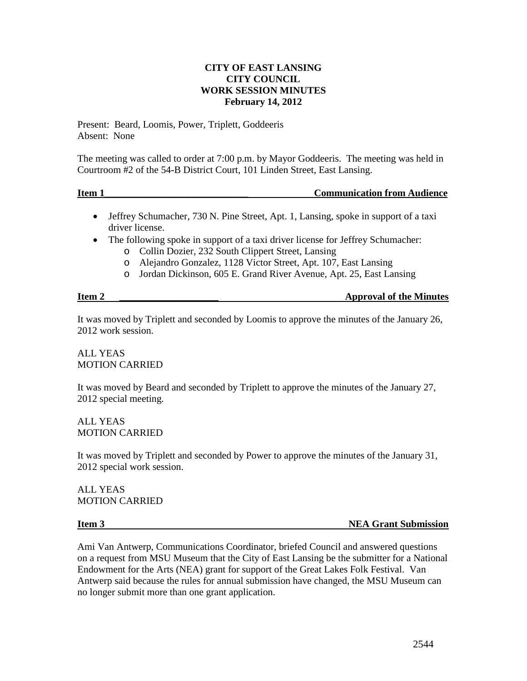## **CITY OF EAST LANSING CITY COUNCIL WORK SESSION MINUTES February 14, 2012**

Present: Beard, Loomis, Power, Triplett, Goddeeris Absent: None

The meeting was called to order at 7:00 p.m. by Mayor Goddeeris. The meeting was held in Courtroom #2 of the 54-B District Court, 101 Linden Street, East Lansing.

**Item 1 In the latter of the communication from Audience Communication from Audience** 

- Jeffrey Schumacher, 730 N. Pine Street, Apt. 1, Lansing, spoke in support of a taxi driver license.
- The following spoke in support of a taxi driver license for Jeffrey Schumacher:
	- o Collin Dozier, 232 South Clippert Street, Lansing
	- o Alejandro Gonzalez, 1128 Victor Street, Apt. 107, East Lansing
	- o Jordan Dickinson, 605 E. Grand River Avenue, Apt. 25, East Lansing

| Item <sub>2</sub> | <b>Approval of the Minutes</b> |
|-------------------|--------------------------------|
|                   |                                |

It was moved by Triplett and seconded by Loomis to approve the minutes of the January 26, 2012 work session.

ALL YEAS MOTION CARRIED

It was moved by Beard and seconded by Triplett to approve the minutes of the January 27, 2012 special meeting.

ALL YEAS MOTION CARRIED

It was moved by Triplett and seconded by Power to approve the minutes of the January 31, 2012 special work session.

ALL YEAS MOTION CARRIED

**Item 3** NEA Grant Submission

Ami Van Antwerp, Communications Coordinator, briefed Council and answered questions on a request from MSU Museum that the City of East Lansing be the submitter for a National Endowment for the Arts (NEA) grant for support of the Great Lakes Folk Festival. Van Antwerp said because the rules for annual submission have changed, the MSU Museum can no longer submit more than one grant application.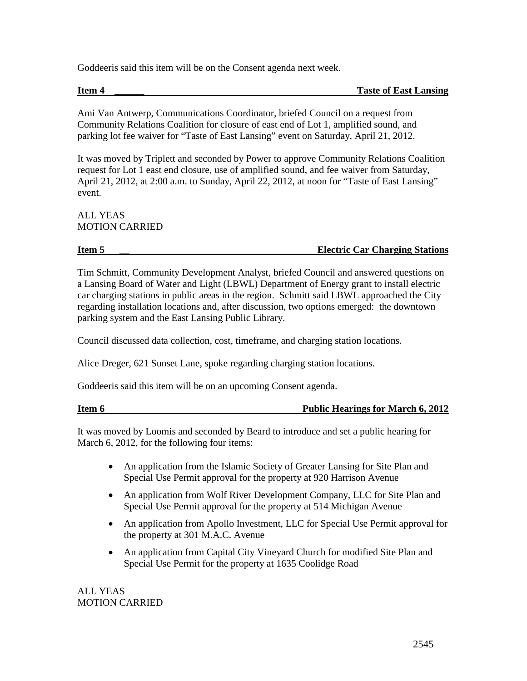Goddeeris said this item will be on the Consent agenda next week.

**Item 4 Taste of East Lansing** 

Ami Van Antwerp, Communications Coordinator, briefed Council on a request from Community Relations Coalition for closure of east end of Lot 1, amplified sound, and parking lot fee waiver for "Taste of East Lansing" event on Saturday, April 21, 2012.

It was moved by Triplett and seconded by Power to approve Community Relations Coalition request for Lot 1 east end closure, use of amplified sound, and fee waiver from Saturday, April 21, 2012, at 2:00 a.m. to Sunday, April 22, 2012, at noon for "Taste of East Lansing" event.

# ALL YEAS MOTION CARRIED

# **Item 5 \_\_ Electric Car Charging Stations**

Tim Schmitt, Community Development Analyst, briefed Council and answered questions on a Lansing Board of Water and Light (LBWL) Department of Energy grant to install electric car charging stations in public areas in the region. Schmitt said LBWL approached the City regarding installation locations and, after discussion, two options emerged: the downtown parking system and the East Lansing Public Library.

Council discussed data collection, cost, timeframe, and charging station locations.

Alice Dreger, 621 Sunset Lane, spoke regarding charging station locations.

Goddeeris said this item will be on an upcoming Consent agenda.

| Item 6 | <b>Public Hearings for March 6, 2012</b> |
|--------|------------------------------------------|
|        |                                          |

It was moved by Loomis and seconded by Beard to introduce and set a public hearing for March 6, 2012, for the following four items:

- An application from the Islamic Society of Greater Lansing for Site Plan and Special Use Permit approval for the property at 920 Harrison Avenue
- An application from Wolf River Development Company, LLC for Site Plan and Special Use Permit approval for the property at 514 Michigan Avenue
- An application from Apollo Investment, LLC for Special Use Permit approval for the property at 301 M.A.C. Avenue
- An application from Capital City Vineyard Church for modified Site Plan and Special Use Permit for the property at 1635 Coolidge Road

ALL YEAS MOTION CARRIED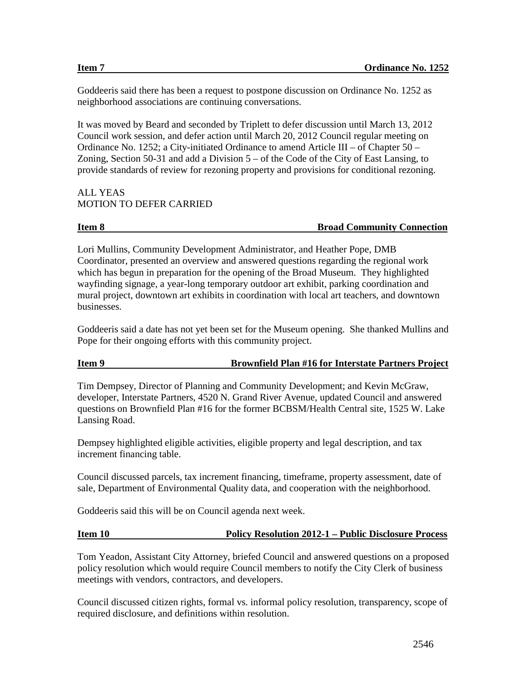Goddeeris said there has been a request to postpone discussion on Ordinance No. 1252 as neighborhood associations are continuing conversations.

It was moved by Beard and seconded by Triplett to defer discussion until March 13, 2012 Council work session, and defer action until March 20, 2012 Council regular meeting on Ordinance No. 1252; a City-initiated Ordinance to amend Article III – of Chapter  $50$  – Zoning, Section 50-31 and add a Division  $5 -$  of the Code of the City of East Lansing, to provide standards of review for rezoning property and provisions for conditional rezoning.

### ALL YEAS MOTION TO DEFER CARRIED

### **Item 8 Broad Community Connection**

Lori Mullins, Community Development Administrator, and Heather Pope, DMB Coordinator, presented an overview and answered questions regarding the regional work which has begun in preparation for the opening of the Broad Museum. They highlighted wayfinding signage, a year-long temporary outdoor art exhibit, parking coordination and mural project, downtown art exhibits in coordination with local art teachers, and downtown businesses.

Goddeeris said a date has not yet been set for the Museum opening. She thanked Mullins and Pope for their ongoing efforts with this community project.

# **Item 9 Brownfield Plan #16 for Interstate Partners Project**

Tim Dempsey, Director of Planning and Community Development; and Kevin McGraw, developer, Interstate Partners, 4520 N. Grand River Avenue, updated Council and answered questions on Brownfield Plan #16 for the former BCBSM/Health Central site, 1525 W. Lake Lansing Road.

Dempsey highlighted eligible activities, eligible property and legal description, and tax increment financing table.

Council discussed parcels, tax increment financing, timeframe, property assessment, date of sale, Department of Environmental Quality data, and cooperation with the neighborhood.

Goddeeris said this will be on Council agenda next week.

## **Item 10 Policy Resolution 2012-1 – Public Disclosure Process**

Tom Yeadon, Assistant City Attorney, briefed Council and answered questions on a proposed policy resolution which would require Council members to notify the City Clerk of business meetings with vendors, contractors, and developers.

Council discussed citizen rights, formal vs. informal policy resolution, transparency, scope of required disclosure, and definitions within resolution.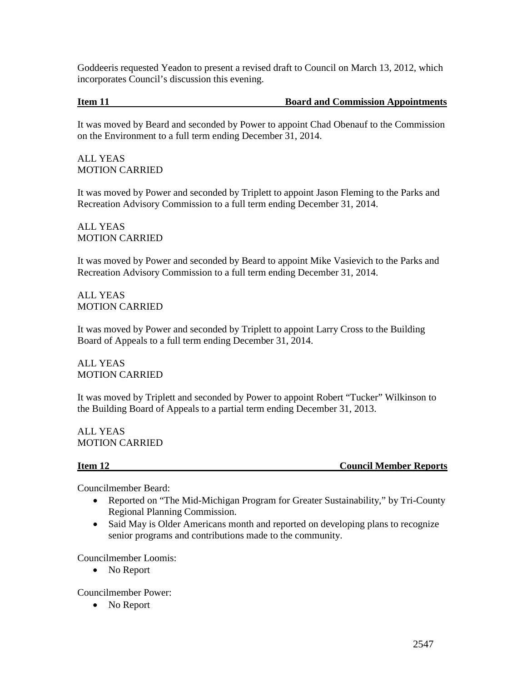Goddeeris requested Yeadon to present a revised draft to Council on March 13, 2012, which incorporates Council's discussion this evening.

## **Item 11 Board and Commission Appointments**

It was moved by Beard and seconded by Power to appoint Chad Obenauf to the Commission on the Environment to a full term ending December 31, 2014.

ALL YEAS MOTION CARRIED

It was moved by Power and seconded by Triplett to appoint Jason Fleming to the Parks and Recreation Advisory Commission to a full term ending December 31, 2014.

ALL YEAS MOTION CARRIED

It was moved by Power and seconded by Beard to appoint Mike Vasievich to the Parks and Recreation Advisory Commission to a full term ending December 31, 2014.

ALL YEAS MOTION CARRIED

It was moved by Power and seconded by Triplett to appoint Larry Cross to the Building Board of Appeals to a full term ending December 31, 2014.

ALL YEAS MOTION CARRIED

It was moved by Triplett and seconded by Power to appoint Robert "Tucker" Wilkinson to the Building Board of Appeals to a partial term ending December 31, 2013.

ALL YEAS MOTION CARRIED

**Item 12** Council Member Reports

Councilmember Beard:

- Reported on "The Mid-Michigan Program for Greater Sustainability," by Tri-County Regional Planning Commission.
- Said May is Older Americans month and reported on developing plans to recognize senior programs and contributions made to the community.

Councilmember Loomis:

• No Report

Councilmember Power:

• No Report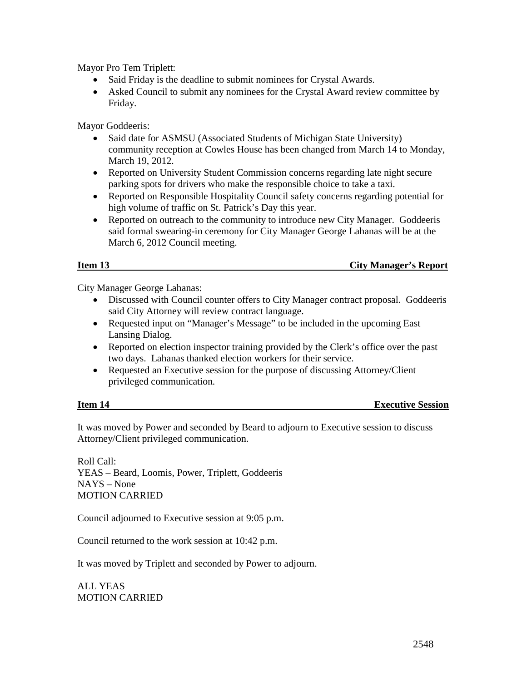Mayor Pro Tem Triplett:

- Said Friday is the deadline to submit nominees for Crystal Awards.
- Asked Council to submit any nominees for the Crystal Award review committee by Friday.

Mayor Goddeeris:

- Said date for ASMSU (Associated Students of Michigan State University) community reception at Cowles House has been changed from March 14 to Monday, March 19, 2012.
- Reported on University Student Commission concerns regarding late night secure parking spots for drivers who make the responsible choice to take a taxi.
- Reported on Responsible Hospitality Council safety concerns regarding potential for high volume of traffic on St. Patrick's Day this year.
- Reported on outreach to the community to introduce new City Manager. Goddeeris said formal swearing-in ceremony for City Manager George Lahanas will be at the March 6, 2012 Council meeting.

**Item 13** City Manager's Report

City Manager George Lahanas:

- Discussed with Council counter offers to City Manager contract proposal. Goddeeris said City Attorney will review contract language.
- Requested input on "Manager's Message" to be included in the upcoming East Lansing Dialog.
- Reported on election inspector training provided by the Clerk's office over the past two days. Lahanas thanked election workers for their service.
- Requested an Executive session for the purpose of discussing Attorney/Client privileged communication.

| Item 14 | <b>Executive Session</b> |
|---------|--------------------------|
|         |                          |

It was moved by Power and seconded by Beard to adjourn to Executive session to discuss Attorney/Client privileged communication.

Roll Call: YEAS – Beard, Loomis, Power, Triplett, Goddeeris NAYS – None MOTION CARRIED

Council adjourned to Executive session at 9:05 p.m.

Council returned to the work session at 10:42 p.m.

It was moved by Triplett and seconded by Power to adjourn.

ALL YEAS MOTION CARRIED